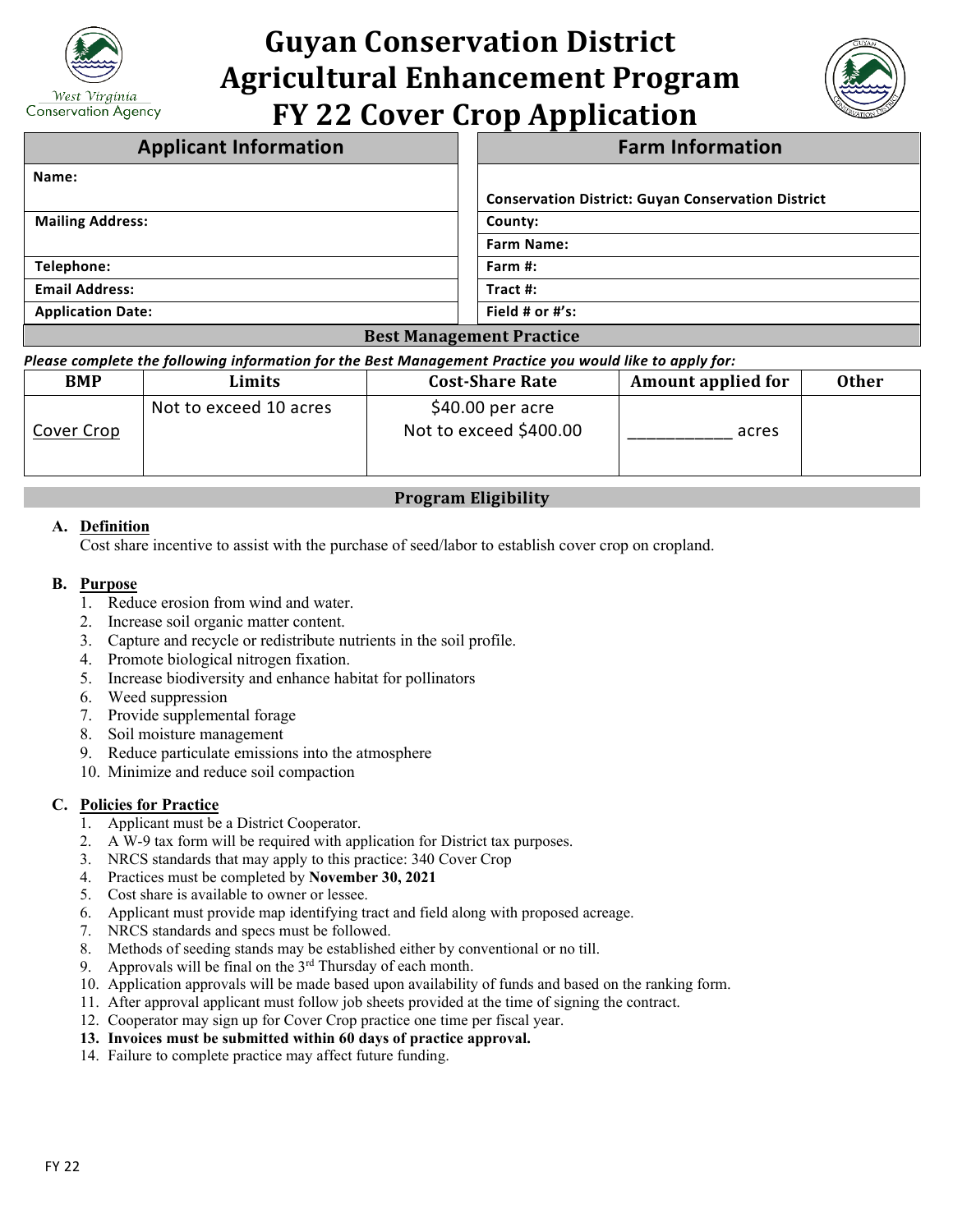

# **Guyan Conservation District Agricultural Enhancement Program FY 22 Cover Crop Application**



| <b>Applicant Information</b> | <b>Farm Information</b>                                   |  |
|------------------------------|-----------------------------------------------------------|--|
| Name:                        |                                                           |  |
|                              | <b>Conservation District: Guyan Conservation District</b> |  |
| <b>Mailing Address:</b>      | County:                                                   |  |
|                              | <b>Farm Name:</b>                                         |  |
| Telephone:                   | Farm #:                                                   |  |
| <b>Email Address:</b>        | Tract $#$ :                                               |  |
| <b>Application Date:</b>     | Field # or $#$ 's:                                        |  |
|                              | <b>Best Management Practice</b>                           |  |

*Please complete the following information for the Best Management Practice you would like to apply for:*

| <b>BMP</b> | Limits                 | <b>Cost-Share Rate</b>                      | <b>Amount applied for</b> | <b>Other</b> |
|------------|------------------------|---------------------------------------------|---------------------------|--------------|
| Cover Crop | Not to exceed 10 acres | $$40.00$ per acre<br>Not to exceed \$400.00 | acres                     |              |

# **Program Eligibility**

### **A. Definition**

Cost share incentive to assist with the purchase of seed/labor to establish cover crop on cropland.

#### **B. Purpose**

- 1. Reduce erosion from wind and water.
- 2. Increase soil organic matter content.
- 3. Capture and recycle or redistribute nutrients in the soil profile.
- 4. Promote biological nitrogen fixation.
- 5. Increase biodiversity and enhance habitat for pollinators
- 6. Weed suppression
- 7. Provide supplemental forage
- 8. Soil moisture management
- 9. Reduce particulate emissions into the atmosphere
- 10. Minimize and reduce soil compaction

## **C. Policies for Practice**

- 1. Applicant must be a District Cooperator.
- 2. A W-9 tax form will be required with application for District tax purposes.
- 3. NRCS standards that may apply to this practice: 340 Cover Crop
- 4. Practices must be completed by **November 30, 2021**
- 5. Cost share is available to owner or lessee.
- 6. Applicant must provide map identifying tract and field along with proposed acreage.
- 7. NRCS standards and specs must be followed.
- 8. Methods of seeding stands may be established either by conventional or no till.
- 9. Approvals will be final on the  $3<sup>rd</sup>$  Thursday of each month.
- 10. Application approvals will be made based upon availability of funds and based on the ranking form.
- 11. After approval applicant must follow job sheets provided at the time of signing the contract.
- 12. Cooperator may sign up for Cover Crop practice one time per fiscal year.
- **13. Invoices must be submitted within 60 days of practice approval.**
- 14. Failure to complete practice may affect future funding.